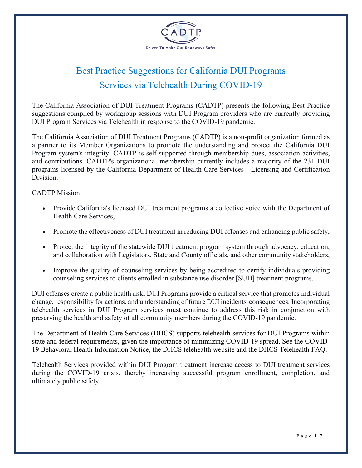

## Best Practice Suggestions for California DUI Programs Services via Telehealth During COVID-19

The California Association of DUI Treatment Programs (CADTP) presents the following Best Practice suggestions complied by workgroup sessions with DUI Program providers who are currently providing DUI Program Services via Telehealth in response to the COVID-19 pandemic.

The California Association of DUI Treatment Programs (CADTP) is a non-profit organization formed as a partner to its Member Organizations to promote the understanding and protect the California DUI Program system's integrity. CADTP is self-supported through membership dues, association activities, and contributions. CADTP's organizational membership currently includes a majority of the 231 DUI programs licensed by the California Department of Health Care Services - Licensing and Certification Division.

## CADTP Mission

- Provide California's licensed DUI treatment programs a collective voice with the Department of Health Care Services,
- Promote the effectiveness of DUI treatment in reducing DUI offenses and enhancing public safety,
- Protect the integrity of the statewide DUI treatment program system through advocacy, education, and collaboration with Legislators, State and County officials, and other community stakeholders,
- Improve the quality of counseling services by being accredited to certify individuals providing counseling services to clients enrolled in substance use disorder [SUD] treatment programs.

DUI offenses create a public health risk. DUI Programs provide a critical service that promotes individual change, responsibility for actions, and understanding of future DUI incidents' consequences. Incorporating telehealth services in DUI Program services must continue to address this risk in conjunction with preserving the health and safety of all community members during the COVID-19 pandemic.

The Department of Health Care Services (DHCS) supports telehealth services for DUI Programs within state and federal requirements, given the importance of minimizing COVID-19 spread. See the COVID-19 Behavioral Health Information Notice, the DHCS telehealth website and the DHCS Telehealth FAQ.

Telehealth Services provided within DUI Program treatment increase access to DUI treatment services during the COVID-19 crisis, thereby increasing successful program enrollment, completion, and ultimately public safety.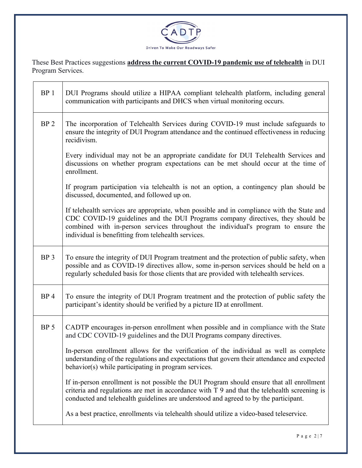

These Best Practices suggestions **address the current COVID-19 pandemic use of telehealth** in DUI Program Services.

| BP <sub>1</sub> | DUI Programs should utilize a HIPAA compliant telehealth platform, including general<br>communication with participants and DHCS when virtual monitoring occurs.                                                                                                                                                           |
|-----------------|----------------------------------------------------------------------------------------------------------------------------------------------------------------------------------------------------------------------------------------------------------------------------------------------------------------------------|
| BP <sub>2</sub> | The incorporation of Telehealth Services during COVID-19 must include safeguards to<br>ensure the integrity of DUI Program attendance and the continued effectiveness in reducing<br>recidivism.                                                                                                                           |
|                 | Every individual may not be an appropriate candidate for DUI Telehealth Services and<br>discussions on whether program expectations can be met should occur at the time of<br>enrollment.                                                                                                                                  |
|                 | If program participation via telehealth is not an option, a contingency plan should be<br>discussed, documented, and followed up on.                                                                                                                                                                                       |
|                 | If telehealth services are appropriate, when possible and in compliance with the State and<br>CDC COVID-19 guidelines and the DUI Programs company directives, they should be<br>combined with in-person services throughout the individual's program to ensure the<br>individual is benefitting from telehealth services. |
| BP <sub>3</sub> | To ensure the integrity of DUI Program treatment and the protection of public safety, when<br>possible and as COVID-19 directives allow, some in-person services should be held on a<br>regularly scheduled basis for those clients that are provided with telehealth services.                                            |
| BP <sub>4</sub> | To ensure the integrity of DUI Program treatment and the protection of public safety the<br>participant's identity should be verified by a picture ID at enrollment.                                                                                                                                                       |
| BP <sub>5</sub> | CADTP encourages in-person enrollment when possible and in compliance with the State<br>and CDC COVID-19 guidelines and the DUI Programs company directives.                                                                                                                                                               |
|                 | In-person enrollment allows for the verification of the individual as well as complete<br>understanding of the regulations and expectations that govern their attendance and expected<br>behavior(s) while participating in program services.                                                                              |
|                 | If in-person enrollment is not possible the DUI Program should ensure that all enrollment<br>criteria and regulations are met in accordance with T 9 and that the telehealth screening is<br>conducted and telehealth guidelines are understood and agreed to by the participant.                                          |
|                 | As a best practice, enrollments via telehealth should utilize a video-based teleservice.                                                                                                                                                                                                                                   |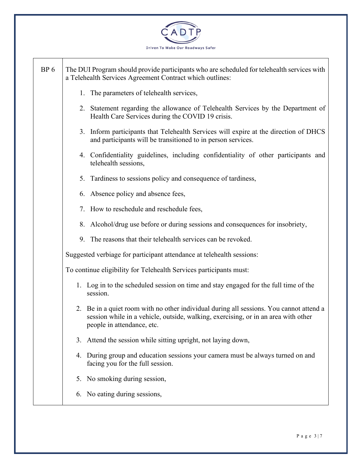

| BP <sub>6</sub> | The DUI Program should provide participants who are scheduled for telehealth services with<br>a Telehealth Services Agreement Contract which outlines:                                                      |
|-----------------|-------------------------------------------------------------------------------------------------------------------------------------------------------------------------------------------------------------|
|                 | 1. The parameters of telehealth services,                                                                                                                                                                   |
|                 | 2. Statement regarding the allowance of Telehealth Services by the Department of<br>Health Care Services during the COVID 19 crisis.                                                                        |
|                 | 3. Inform participants that Telehealth Services will expire at the direction of DHCS<br>and participants will be transitioned to in person services.                                                        |
|                 | 4. Confidentiality guidelines, including confidentiality of other participants and<br>telehealth sessions,                                                                                                  |
|                 | 5. Tardiness to sessions policy and consequence of tardiness,                                                                                                                                               |
|                 | 6. Absence policy and absence fees,                                                                                                                                                                         |
|                 | 7. How to reschedule and reschedule fees,                                                                                                                                                                   |
|                 | 8. Alcohol/drug use before or during sessions and consequences for insobriety,                                                                                                                              |
|                 | 9. The reasons that their telehealth services can be revoked.                                                                                                                                               |
|                 | Suggested verbiage for participant attendance at telehealth sessions:                                                                                                                                       |
|                 | To continue eligibility for Telehealth Services participants must:                                                                                                                                          |
|                 | 1. Log in to the scheduled session on time and stay engaged for the full time of the<br>session.                                                                                                            |
|                 | 2. Be in a quiet room with no other individual during all sessions. You cannot attend a<br>session while in a vehicle, outside, walking, exercising, or in an area with other<br>people in attendance, etc. |
|                 | Attend the session while sitting upright, not laying down,<br>3.                                                                                                                                            |
|                 | 4. During group and education sessions your camera must be always turned on and<br>facing you for the full session.                                                                                         |
|                 | 5. No smoking during session,                                                                                                                                                                               |
|                 | 6. No eating during sessions,                                                                                                                                                                               |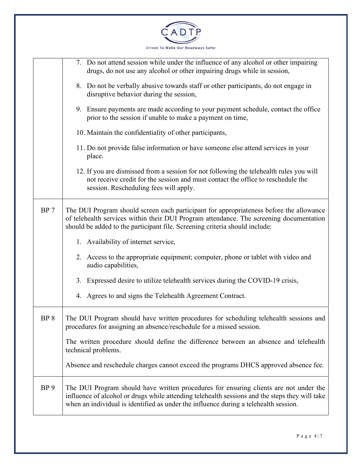

|                 | 7. Do not attend session while under the influence of any alcohol or other impairing<br>drugs, do not use any alcohol or other impairing drugs while in session,                                                                                                                |
|-----------------|---------------------------------------------------------------------------------------------------------------------------------------------------------------------------------------------------------------------------------------------------------------------------------|
|                 | 8. Do not be verbally abusive towards staff or other participants, do not engage in<br>disruptive behavior during the session,                                                                                                                                                  |
|                 | 9. Ensure payments are made according to your payment schedule, contact the office<br>prior to the session if unable to make a payment on time,                                                                                                                                 |
|                 | 10. Maintain the confidentiality of other participants,                                                                                                                                                                                                                         |
|                 | 11. Do not provide false information or have someone else attend services in your<br>place.                                                                                                                                                                                     |
|                 | 12. If you are dismissed from a session for not following the telehealth rules you will<br>not receive credit for the session and must contact the office to reschedule the<br>session. Rescheduling fees will apply.                                                           |
| BP <sub>7</sub> | The DUI Program should screen each participant for appropriateness before the allowance<br>of telehealth services within their DUI Program attendance. The screening documentation<br>should be added to the participant file. Screening criteria should include:               |
|                 | 1. Availability of internet service,                                                                                                                                                                                                                                            |
|                 | 2. Access to the appropriate equipment; computer, phone or tablet with video and<br>audio capabilities,                                                                                                                                                                         |
|                 | 3. Expressed desire to utilize telehealth services during the COVID-19 crisis,                                                                                                                                                                                                  |
|                 | 4. Agrees to and signs the Telehealth Agreement Contract.                                                                                                                                                                                                                       |
| BP <sub>8</sub> | The DUI Program should have written procedures for scheduling telehealth sessions and<br>procedures for assigning an absence/reschedule for a missed session.                                                                                                                   |
|                 | The written procedure should define the difference between an absence and telehealth<br>technical problems.                                                                                                                                                                     |
|                 | Absence and reschedule charges cannot exceed the programs DHCS approved absence fee.                                                                                                                                                                                            |
| BP <sub>9</sub> | The DUI Program should have written procedures for ensuring clients are not under the<br>influence of alcohol or drugs while attending telehealth sessions and the steps they will take<br>when an individual is identified as under the influence during a telehealth session. |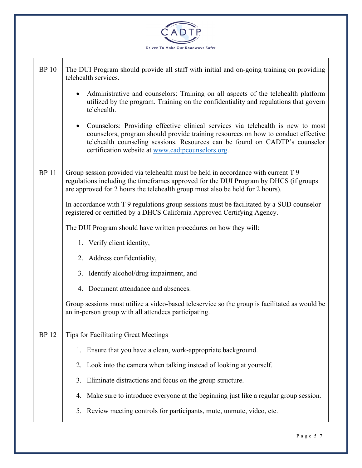

| <b>BP</b> 10 | The DUI Program should provide all staff with initial and on-going training on providing<br>telehealth services.                                                                                                                                                                                           |
|--------------|------------------------------------------------------------------------------------------------------------------------------------------------------------------------------------------------------------------------------------------------------------------------------------------------------------|
|              | Administrative and counselors: Training on all aspects of the telehealth platform<br>utilized by the program. Training on the confidentiality and regulations that govern<br>telehealth.                                                                                                                   |
|              | • Counselors: Providing effective clinical services via telehealth is new to most<br>counselors, program should provide training resources on how to conduct effective<br>telehealth counseling sessions. Resources can be found on CADTP's counselor<br>certification website at www.cadtpcounselors.org. |
| <b>BP11</b>  | Group session provided via telehealth must be held in accordance with current T 9<br>regulations including the timeframes approved for the DUI Program by DHCS (if groups<br>are approved for 2 hours the telehealth group must also be held for 2 hours).                                                 |
|              | In accordance with T 9 regulations group sessions must be facilitated by a SUD counselor<br>registered or certified by a DHCS California Approved Certifying Agency.                                                                                                                                       |
|              | The DUI Program should have written procedures on how they will:                                                                                                                                                                                                                                           |
|              | 1. Verify client identity,                                                                                                                                                                                                                                                                                 |
|              | 2. Address confidentiality,                                                                                                                                                                                                                                                                                |
|              | 3. Identify alcohol/drug impairment, and                                                                                                                                                                                                                                                                   |
|              | 4. Document attendance and absences.                                                                                                                                                                                                                                                                       |
|              | Group sessions must utilize a video-based teleservice so the group is facilitated as would be<br>an in-person group with all attendees participating.                                                                                                                                                      |
| <b>BP</b> 12 | <b>Tips for Facilitating Great Meetings</b>                                                                                                                                                                                                                                                                |
|              | 1. Ensure that you have a clean, work-appropriate background.                                                                                                                                                                                                                                              |
|              | Look into the camera when talking instead of looking at yourself.<br>2.                                                                                                                                                                                                                                    |
|              | Eliminate distractions and focus on the group structure.<br>3.                                                                                                                                                                                                                                             |
|              | 4. Make sure to introduce everyone at the beginning just like a regular group session.                                                                                                                                                                                                                     |
|              | Review meeting controls for participants, mute, unmute, video, etc.<br>5.                                                                                                                                                                                                                                  |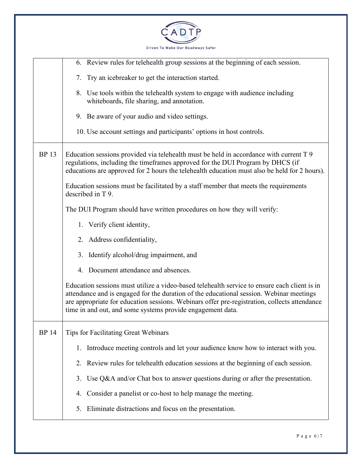

|              | 6. Review rules for telehealth group sessions at the beginning of each session.                                                                                                                                                                                                                                                                       |
|--------------|-------------------------------------------------------------------------------------------------------------------------------------------------------------------------------------------------------------------------------------------------------------------------------------------------------------------------------------------------------|
|              | 7. Try an icebreaker to get the interaction started.                                                                                                                                                                                                                                                                                                  |
|              | 8. Use tools within the telehealth system to engage with audience including<br>whiteboards, file sharing, and annotation.                                                                                                                                                                                                                             |
|              | 9. Be aware of your audio and video settings.                                                                                                                                                                                                                                                                                                         |
|              | 10. Use account settings and participants' options in host controls.                                                                                                                                                                                                                                                                                  |
| <b>BP</b> 13 | Education sessions provided via telehealth must be held in accordance with current T 9<br>regulations, including the timeframes approved for the DUI Program by DHCS (if<br>educations are approved for 2 hours the telehealth education must also be held for 2 hours).                                                                              |
|              | Education sessions must be facilitated by a staff member that meets the requirements<br>described in T 9.                                                                                                                                                                                                                                             |
|              | The DUI Program should have written procedures on how they will verify:                                                                                                                                                                                                                                                                               |
|              | 1. Verify client identity,                                                                                                                                                                                                                                                                                                                            |
|              | 2. Address confidentiality,                                                                                                                                                                                                                                                                                                                           |
|              | 3. Identify alcohol/drug impairment, and                                                                                                                                                                                                                                                                                                              |
|              | 4. Document attendance and absences.                                                                                                                                                                                                                                                                                                                  |
|              | Education sessions must utilize a video-based telehealth service to ensure each client is in<br>attendance and is engaged for the duration of the educational session. Webinar meetings<br>are appropriate for education sessions. Webinars offer pre-registration, collects attendance<br>time in and out, and some systems provide engagement data. |
| <b>BP</b> 14 | Tips for Facilitating Great Webinars                                                                                                                                                                                                                                                                                                                  |
|              | Introduce meeting controls and let your audience know how to interact with you.<br>1.                                                                                                                                                                                                                                                                 |
|              | Review rules for telehealth education sessions at the beginning of each session.<br>2.                                                                                                                                                                                                                                                                |
|              | Use $Q&A$ and/or Chat box to answer questions during or after the presentation.<br>3.                                                                                                                                                                                                                                                                 |
|              | Consider a panelist or co-host to help manage the meeting.<br>4.                                                                                                                                                                                                                                                                                      |
|              | Eliminate distractions and focus on the presentation.<br>5.                                                                                                                                                                                                                                                                                           |
|              |                                                                                                                                                                                                                                                                                                                                                       |